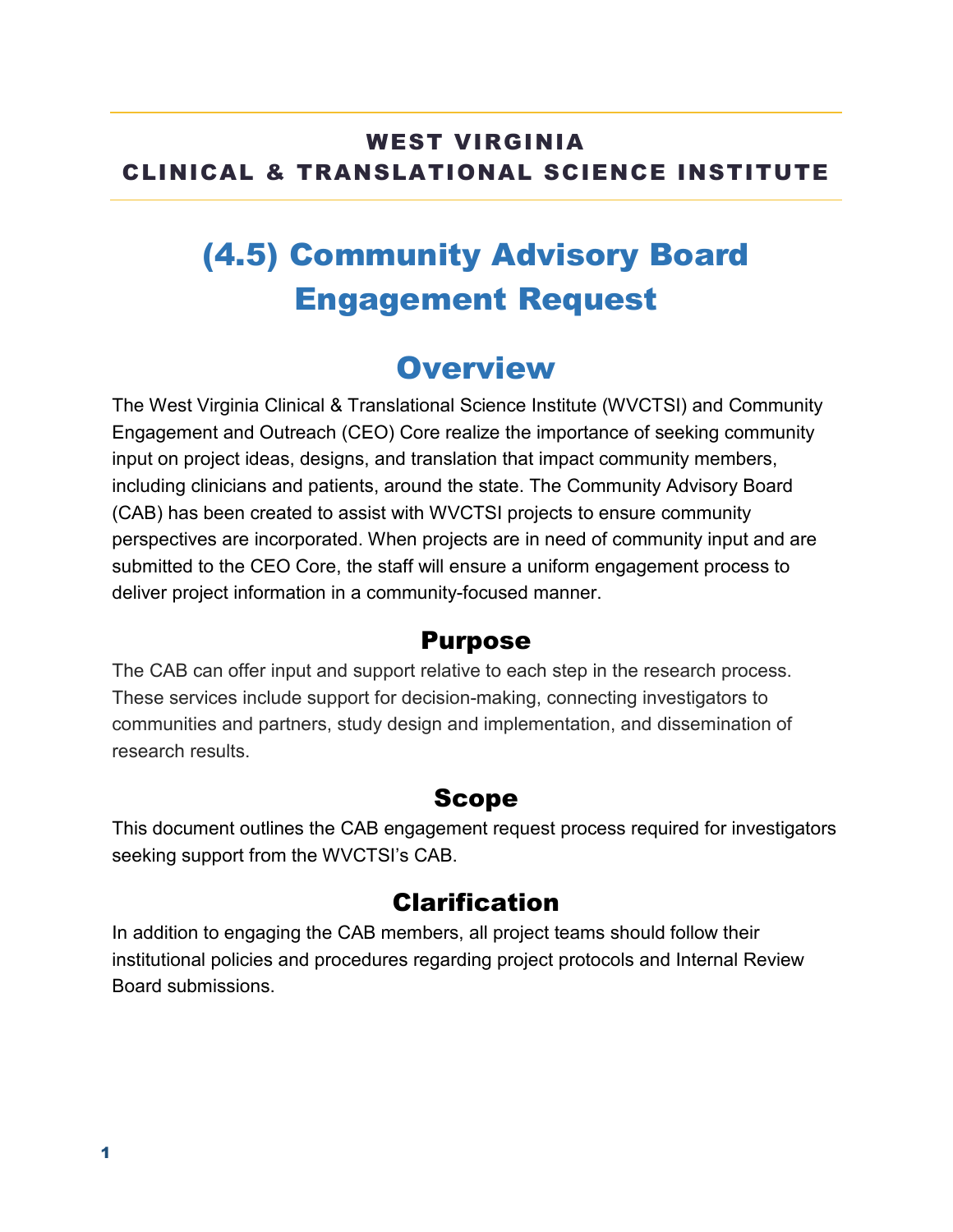#### WEST VIRGINIA CLINICAL & TRANSLATIONAL SCIENCE INSTITUTE

# (4.5) Community Advisory Board Engagement Request

### **Overview**

The West Virginia Clinical & Translational Science Institute (WVCTSI) and Community Engagement and Outreach (CEO) Core realize the importance of seeking community input on project ideas, designs, and translation that impact community members, including clinicians and patients, around the state. The Community Advisory Board (CAB) has been created to assist with WVCTSI projects to ensure community perspectives are incorporated. When projects are in need of community input and are submitted to the CEO Core, the staff will ensure a uniform engagement process to deliver project information in a community-focused manner.

#### Purpose

The CAB can offer input and support relative to each step in the research process. These services include support for decision-making, connecting investigators to communities and partners, study design and implementation, and dissemination of research results.

#### Scope

This document outlines the CAB engagement request process required for investigators seeking support from the WVCTSI's CAB.

### Clarification

In addition to engaging the CAB members, all project teams should follow their institutional policies and procedures regarding project protocols and Internal Review Board submissions.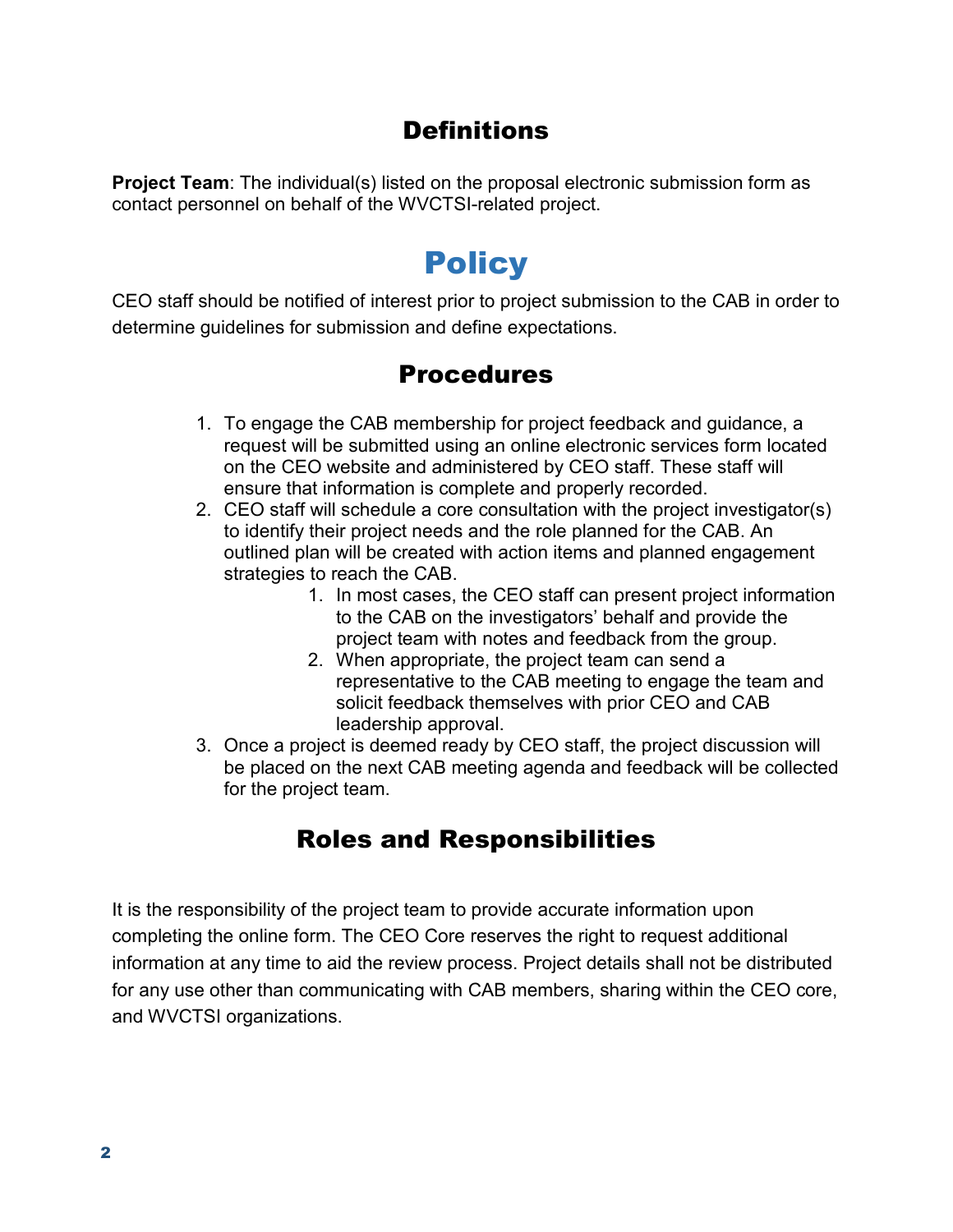#### **Definitions**

**Project Team:** The individual(s) listed on the proposal electronic submission form as contact personnel on behalf of the WVCTSI-related project.

## **Policy**

CEO staff should be notified of interest prior to project submission to the CAB in order to determine guidelines for submission and define expectations.

#### Procedures

- 1. To engage the CAB membership for project feedback and guidance, a request will be submitted using an online electronic services form located on the CEO website and administered by CEO staff. These staff will ensure that information is complete and properly recorded.
- 2. CEO staff will schedule a core consultation with the project investigator(s) to identify their project needs and the role planned for the CAB. An outlined plan will be created with action items and planned engagement strategies to reach the CAB.
	- 1. In most cases, the CEO staff can present project information to the CAB on the investigators' behalf and provide the project team with notes and feedback from the group.
	- 2. When appropriate, the project team can send a representative to the CAB meeting to engage the team and solicit feedback themselves with prior CEO and CAB leadership approval.
- 3. Once a project is deemed ready by CEO staff, the project discussion will be placed on the next CAB meeting agenda and feedback will be collected for the project team.

### Roles and Responsibilities

It is the responsibility of the project team to provide accurate information upon completing the online form. The CEO Core reserves the right to request additional information at any time to aid the review process. Project details shall not be distributed for any use other than communicating with CAB members, sharing within the CEO core, and WVCTSI organizations.